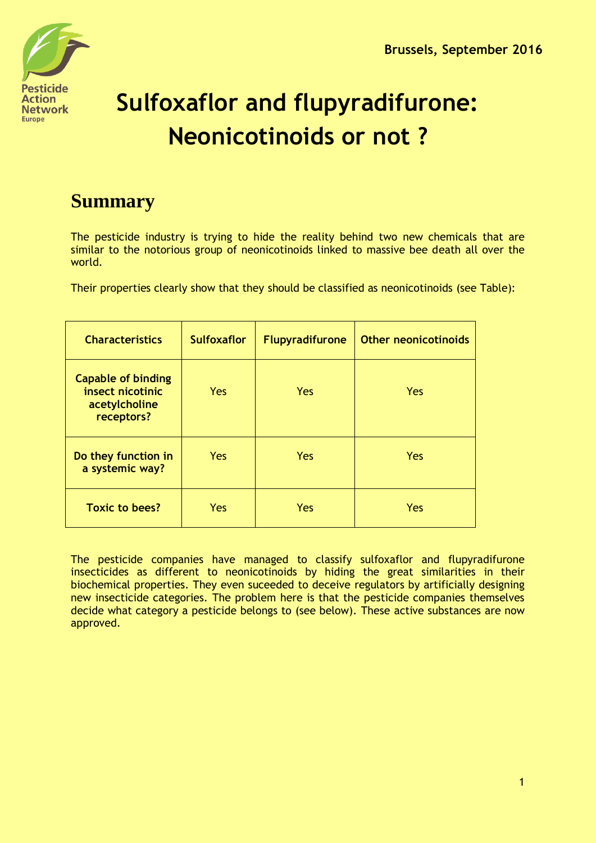

# **Sulfoxaflor and flupyradifurone: Neonicotinoids or not ?**

# **Summary**

The pesticide industry is trying to hide the reality behind two new chemicals that are similar to the notorious group of neonicotinoids linked to massive bee death all over the world.

Their properties clearly show that they should be classified as neonicotinoids (see Table):

| <b>Characteristics</b>                                                       | <b>Sulfoxaflor</b> | <b>Flupyradifurone</b> | <b>Other neonicotinoids</b> |
|------------------------------------------------------------------------------|--------------------|------------------------|-----------------------------|
| <b>Capable of binding</b><br>insect nicotinic<br>acetylcholine<br>receptors? | Yes                | Yes                    | Yes                         |
| Do they function in<br>a systemic way?                                       | Yes                | Yes                    | <b>Yes</b>                  |
| <b>Toxic to bees?</b>                                                        | Yes                | Yes                    | Yes                         |

The pesticide companies have managed to classify sulfoxaflor and flupyradifurone insecticides as different to neonicotinoids by hiding the great similarities in their biochemical properties. They even suceeded to deceive regulators by artificially designing new insecticide categories. The problem here is that the pesticide companies themselves decide what category a pesticide belongs to (see below). These active substances are now approved.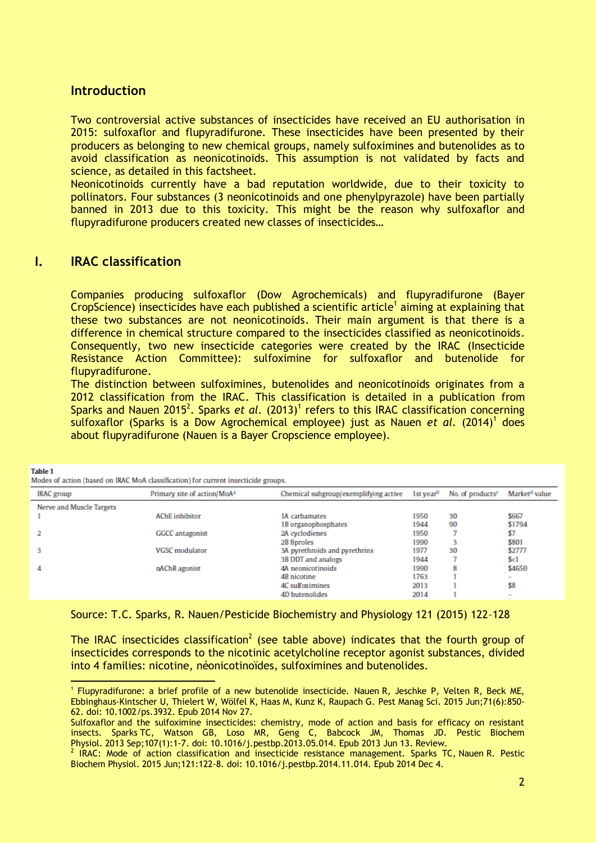#### **Introduction**

Two controversial active substances of insecticides have received an EU authorisation in 2015: sulfoxaflor and flupyradifurone. These insecticides have been presented by their producers as belonging to new chemical groups, namely sulfoximines and butenolides as to avoid classification as neonicotinoids. This assumption is not validated by facts and science, as detailed in this factsheet.

Neonicotinoids currently have a bad reputation worldwide, due to their toxicity to pollinators. Four substances (3 neonicotinoids and one phenylpyrazole) have been partially banned in 2013 due to this toxicity. This might be the reason why sulfoxaflor and flupyradifurone producers created new classes of insecticides…

## **I. IRAC classification**

**Tshla 1** 

Companies producing sulfoxaflor (Dow Agrochemicals) and flupyradifurone (Bayer CropScience) insecticides have each published a scientific article<sup>1</sup> aiming at explaining that these two substances are not neonicotinoids. Their main argument is that there is a difference in chemical structure compared to the insecticides classified as neonicotinoids. Consequently, two new insecticide categories were created by the IRAC (Insecticide Resistance Action Committee): sulfoximine for sulfoxaflor and butenolide for flupyradifurone.

The distinction between sulfoximines, butenolides and neonicotinoids originates from a 2012 classification from the IRAC. This classification is detailed in a publication from Sparks and Nauen 2015<sup>2</sup>. Sparks et al. (2013)<sup>1</sup> refers to this IRAC classification concerning sulfoxaflor (Sparks is a Dow Agrochemical employee) just as Nauen *et al.* (2014)<sup>1</sup> does about flupyradifurone (Nauen is a Bayer Cropscience employee).

| Market <sup>d</sup> value<br>No. of products <sup>c</sup><br>IRAC group<br>Primary site of action/MoA <sup>2</sup><br>Chemical subgroup/exemplifying active<br>1st year <sup>b</sup><br>Nerve and Muscle Targets<br>\$667<br><b>AChE</b> inhibitor<br>1950<br>30<br>1A carbamates<br>\$1794<br>90<br>1944<br>1B organophosphates<br>\$7<br>2A cyclodienes<br>1950<br><b>GGCC</b> antagonist<br>\$801<br>1990<br>2B fiproles<br>\$2777<br><b>VGSC</b> modulator<br>1977<br>30<br>3A pyrethroids and pyrethrins<br>1944<br>3B DDT and analogs<br>S<1<br>\$4650<br>4A neonicotinoids<br>8<br>1990<br>nAChR agonist<br>4<br>1763<br>4B nicotine<br>$\overline{\phantom{a}}$<br>\$8<br>2013<br>4C sulfoximines<br>2014<br>4D butenolides<br>$\overline{\phantom{a}}$ | Modes of action (based on IRAC MoA classification) for current insecticide groups. |  |  |  |  |  |  |  |  |
|-----------------------------------------------------------------------------------------------------------------------------------------------------------------------------------------------------------------------------------------------------------------------------------------------------------------------------------------------------------------------------------------------------------------------------------------------------------------------------------------------------------------------------------------------------------------------------------------------------------------------------------------------------------------------------------------------------------------------------------------------------------------|------------------------------------------------------------------------------------|--|--|--|--|--|--|--|--|
|                                                                                                                                                                                                                                                                                                                                                                                                                                                                                                                                                                                                                                                                                                                                                                 |                                                                                    |  |  |  |  |  |  |  |  |
|                                                                                                                                                                                                                                                                                                                                                                                                                                                                                                                                                                                                                                                                                                                                                                 |                                                                                    |  |  |  |  |  |  |  |  |
|                                                                                                                                                                                                                                                                                                                                                                                                                                                                                                                                                                                                                                                                                                                                                                 |                                                                                    |  |  |  |  |  |  |  |  |
|                                                                                                                                                                                                                                                                                                                                                                                                                                                                                                                                                                                                                                                                                                                                                                 |                                                                                    |  |  |  |  |  |  |  |  |
|                                                                                                                                                                                                                                                                                                                                                                                                                                                                                                                                                                                                                                                                                                                                                                 |                                                                                    |  |  |  |  |  |  |  |  |
|                                                                                                                                                                                                                                                                                                                                                                                                                                                                                                                                                                                                                                                                                                                                                                 |                                                                                    |  |  |  |  |  |  |  |  |
|                                                                                                                                                                                                                                                                                                                                                                                                                                                                                                                                                                                                                                                                                                                                                                 |                                                                                    |  |  |  |  |  |  |  |  |
|                                                                                                                                                                                                                                                                                                                                                                                                                                                                                                                                                                                                                                                                                                                                                                 |                                                                                    |  |  |  |  |  |  |  |  |
|                                                                                                                                                                                                                                                                                                                                                                                                                                                                                                                                                                                                                                                                                                                                                                 |                                                                                    |  |  |  |  |  |  |  |  |
|                                                                                                                                                                                                                                                                                                                                                                                                                                                                                                                                                                                                                                                                                                                                                                 |                                                                                    |  |  |  |  |  |  |  |  |
|                                                                                                                                                                                                                                                                                                                                                                                                                                                                                                                                                                                                                                                                                                                                                                 |                                                                                    |  |  |  |  |  |  |  |  |
|                                                                                                                                                                                                                                                                                                                                                                                                                                                                                                                                                                                                                                                                                                                                                                 |                                                                                    |  |  |  |  |  |  |  |  |

Source: T.C. Sparks, R. Nauen/Pesticide Biochemistry and Physiology 121 (2015) 122–128

The IRAC insecticides classification<sup>2</sup> (see table above) indicates that the fourth group of insecticides corresponds to the nicotinic acetylcholine receptor agonist substances, divided into 4 families: nicotine, néonicotinoïdes, sulfoximines and butenolides.

 $\overline{a}$ 1 [Flupyradifurone: a brief profile of a new butenolide insecticide.](https://www.ncbi.nlm.nih.gov/pubmed/25351824) Nauen R, Jeschke P, Velten R, Beck ME, Ebbinghaus-Kintscher U, Thielert W, Wölfel K, Haas M, Kunz K, Raupach G. Pest Manag Sci. 2015 Jun;71(6):850- 62. doi: 10.1002/ps.3932. Epub 2014 Nov 27.

Sulfoxaflor [and the sulfoximine insecticides: chemistry, mode of action and basis for efficacy on resistant](https://www.ncbi.nlm.nih.gov/pubmed/25149228)  [insects.](https://www.ncbi.nlm.nih.gov/pubmed/25149228) Sparks TC, Watson GB, Loso MR, Geng C, Babcock JM, Thomas JD. Pestic Biochem

Physiol. 2013 Sep;107(1):1-7. doi: 10.1016/j.pestbp.2013.05.014. Epub 2013 Jun 13. Review.<br><sup>2</sup> [IRAC: Mode of action classification and insecticide resistance management.](https://www.ncbi.nlm.nih.gov/pubmed/26047120) Sparks TC, Nauen R. Pestic Biochem Physiol. 2015 Jun;121:122-8. doi: 10.1016/j.pestbp.2014.11.014. Epub 2014 Dec 4.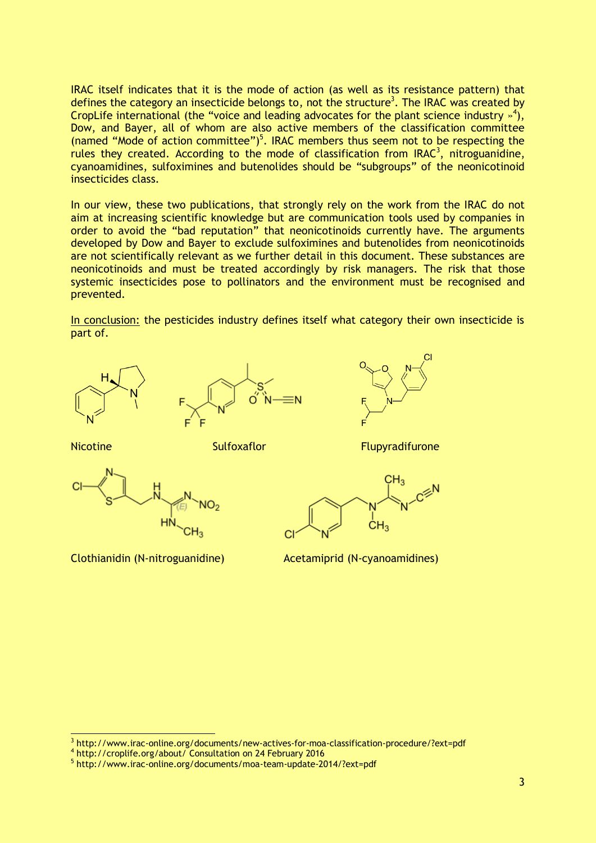IRAC itself indicates that it is the mode of action (as well as its resistance pattern) that defines the category an insecticide belongs to, not the structure<sup>3</sup>. The IRAC was created by CropLife international (the "voice and leading advocates for the plant science industry  $\frac{1}{2}$ ), Dow, and Bayer, all of whom are also active members of the classification committee (named "Mode of action committee")<sup>5</sup>. IRAC members thus seem not to be respecting the rules they created. According to the mode of classification from IRAC<sup>3</sup>, nitroguanidine, cyanoamidines, sulfoximines and butenolides should be "subgroups" of the neonicotinoid insecticides class.

In our view, these two publications, that strongly rely on the work from the IRAC do not aim at increasing scientific knowledge but are communication tools used by companies in order to avoid the "bad reputation" that neonicotinoids currently have. The arguments developed by Dow and Bayer to exclude sulfoximines and butenolides from neonicotinoids are not scientifically relevant as we further detail in this document. These substances are neonicotinoids and must be treated accordingly by risk managers. The risk that those systemic insecticides pose to pollinators and the environment must be recognised and prevented.

In conclusion: the pesticides industry defines itself what category their own insecticide is part of.







-

Nicotine Sulfoxaflor Sulfoxare Sulfoxaflor Flupyradifurone





Clothianidin (N-nitroguanidine) Acetamiprid (N-cyanoamidines)

<sup>&</sup>lt;sup>3</sup> http://www.irac-online.org/documents/new-actives-for-moa-classification-procedure/?ext=pdf

<sup>4</sup> <http://croplife.org/about/> Consultation on 24 February 2016

<sup>5</sup> <http://www.irac-online.org/documents/moa-team-update-2014/?ext=pdf>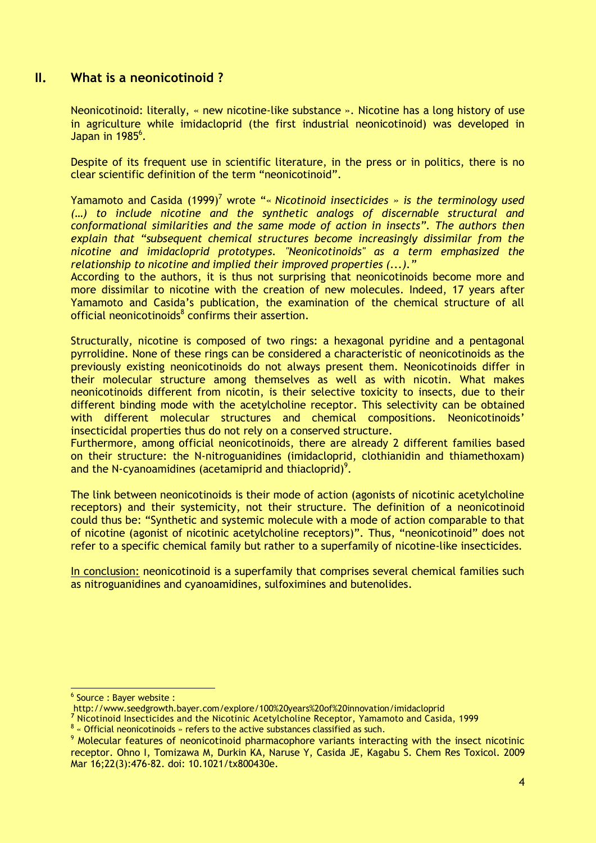#### **II. What is a neonicotinoid ?**

Neonicotinoid: literally, « new nicotine-like substance ». Nicotine has a long history of use in agriculture while imidacloprid (the first industrial neonicotinoid) was developed in Japan in  $1985<sup>6</sup>$ .

Despite of its frequent use in scientific literature, in the press or in politics, there is no clear scientific definition of the term "neonicotinoid".

Yamamoto and Casida (1999)<sup>7</sup> wrote "« *Nicotinoid insecticides* » is the terminology used *(…) to include nicotine and the synthetic analogs of discernable structural and conformational similarities and the same mode of action in insects". The authors then explain that "subsequent chemical structures become increasingly dissimilar from the nicotine and imidacloprid prototypes. "Neonicotinoids" as a term emphasized the relationship to nicotine and implied their improved properties (...)."*

According to the authors, it is thus not surprising that neonicotinoids become more and more dissimilar to nicotine with the creation of new molecules. Indeed, 17 years after Yamamoto and Casida's publication, the examination of the chemical structure of all official neonicotinoids<sup>8</sup> confirms their assertion.

Structurally, nicotine is composed of two rings: a hexagonal pyridine and a pentagonal pyrrolidine. None of these rings can be considered a characteristic of neonicotinoids as the previously existing neonicotinoids do not always present them. Neonicotinoids differ in their molecular structure among themselves as well as with nicotin. What makes neonicotinoids different from nicotin, is their selective toxicity to insects, due to their different binding mode with the acetylcholine receptor. This selectivity can be obtained with different molecular structures and chemical compositions. Neonicotinoids' insecticidal properties thus do not rely on a conserved structure.

Furthermore, among official neonicotinoids, there are already 2 different families based on their structure: the N-nitroguanidines (imidacloprid, clothianidin and thiamethoxam) and the N-cyanoamidines (acetamiprid and thiacloprid)<sup>9</sup>.

The link between neonicotinoids is their mode of action (agonists of nicotinic acetylcholine receptors) and their systemicity, not their structure. The definition of a neonicotinoid could thus be: "Synthetic and systemic molecule with a mode of action comparable to that of nicotine (agonist of nicotinic acetylcholine receptors)". Thus, "neonicotinoid" does not refer to a specific chemical family but rather to a superfamily of nicotine-like insecticides.

In conclusion: neonicotinoid is a superfamily that comprises several chemical families such as nitroguanidines and cyanoamidines, sulfoximines and butenolides.

 6 Source : Bayer website :

http://www.seedgrowth.bayer.com/explore/100%20years%20of%20innovation/imidacloprid

**<sup>7</sup>** Nicotinoid Insecticides and the Nicotinic Acetylcholine Receptor, Yamamoto and Casida, 1999

 $8$  « Official neonicotinoids » refers to the active substances classified as such.

<sup>9</sup> [Molecular features of neonicotinoid pharmacophore variants interacting with the insect nicotinic](https://www.ncbi.nlm.nih.gov/pubmed/19178134)  [receptor.](https://www.ncbi.nlm.nih.gov/pubmed/19178134) Ohno I, Tomizawa M, Durkin KA, Naruse Y, Casida JE, Kagabu S. Chem Res Toxicol. 2009 Mar 16;22(3):476-82. doi: 10.1021/tx800430e.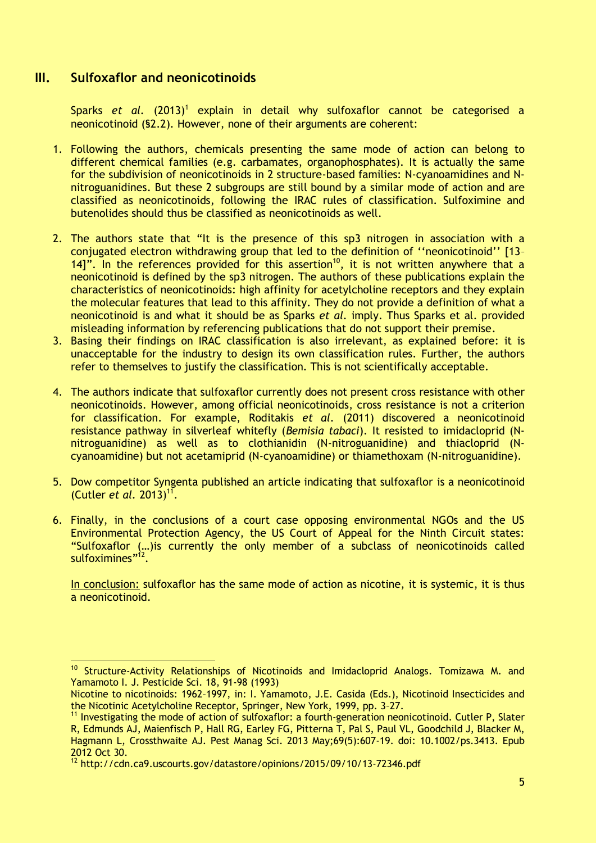## **III. Sulfoxaflor and neonicotinoids**

-

Sparks et al. (2013)<sup>1</sup> explain in detail why sulfoxaflor cannot be categorised a neonicotinoid (§2.2). However, none of their arguments are coherent:

- 1. Following the authors, chemicals presenting the same mode of action can belong to different chemical families (e.g. carbamates, organophosphates). It is actually the same for the subdivision of neonicotinoids in 2 structure-based families: N-cyanoamidines and Nnitroguanidines. But these 2 subgroups are still bound by a similar mode of action and are classified as neonicotinoids, following the IRAC rules of classification. Sulfoximine and butenolides should thus be classified as neonicotinoids as well.
- 2. The authors state that "It is the presence of this sp3 nitrogen in association with a conjugated electron withdrawing group that led to the definition of ''neonicotinoid'' [13– 14]". In the references provided for this assertion<sup>10</sup>, it is not written anywhere that a neonicotinoid is defined by the sp3 nitrogen. The authors of these publications explain the characteristics of neonicotinoids: high affinity for acetylcholine receptors and they explain the molecular features that lead to this affinity. They do not provide a definition of what a neonicotinoid is and what it should be as Sparks *et al.* imply. Thus Sparks et al. provided misleading information by referencing publications that do not support their premise.
- 3. Basing their findings on IRAC classification is also irrelevant, as explained before: it is unacceptable for the industry to design its own classification rules. Further, the authors refer to themselves to justify the classification. This is not scientifically acceptable.
- 4. The authors indicate that sulfoxaflor currently does not present cross resistance with other neonicotinoids. However, among official neonicotinoids, cross resistance is not a criterion for classification. For example, Roditakis *et al.* (2011) discovered a neonicotinoid resistance pathway in silverleaf whitefly (*Bemisia tabaci*). It resisted to imidacloprid (Nnitroguanidine) as well as to clothianidin (N-nitroguanidine) and thiacloprid (Ncyanoamidine) but not acetamiprid (N-cyanoamidine) or thiamethoxam (N-nitroguanidine).
- 5. Dow competitor Syngenta published an article indicating that sulfoxaflor is a neonicotinoid (Cutler *et al.* 2013)<sup>11</sup>.
- 6. Finally, in the conclusions of a court case opposing environmental NGOs and the US Environmental Protection Agency, the US Court of Appeal for the Ninth Circuit states: "Sulfoxaflor (…)is currently the only member of a subclass of neonicotinoids called sulfoximines"<sup>12</sup>.

In conclusion: sulfoxaflor has the same mode of action as nicotine, it is systemic, it is thus a neonicotinoid.

<sup>10</sup> Structure-Activity Relationships of Nicotinoids and Imidacloprid Analogs. Tomizawa M. and Yamamoto I. J. Pesticide Sci. 18, 91-98 (1993)

Nicotine to nicotinoids: 1962–1997, in: I. Yamamoto, J.E. Casida (Eds.), Nicotinoid Insecticides and the Nicotinic Acetylcholine Receptor, Springer, New York, 1999, pp. 3–27.

 $11$  [Investigating the mode of action of](http://www.ncbi.nlm.nih.gov/pubmed/23112103) sulfoxaflor: a fourth-generation neonicotinoid. Cutler P, Slater R, Edmunds AJ, Maienfisch P, Hall RG, Earley FG, Pitterna T, Pal S, Paul VL, Goodchild J, Blacker M, Hagmann L, Crossthwaite AJ. Pest Manag Sci. 2013 May;69(5):607-19. doi: 10.1002/ps.3413. Epub 2012 Oct 30.

<sup>12</sup> http://cdn.ca9.uscourts.gov/datastore/opinions/2015/09/10/13-72346.pdf